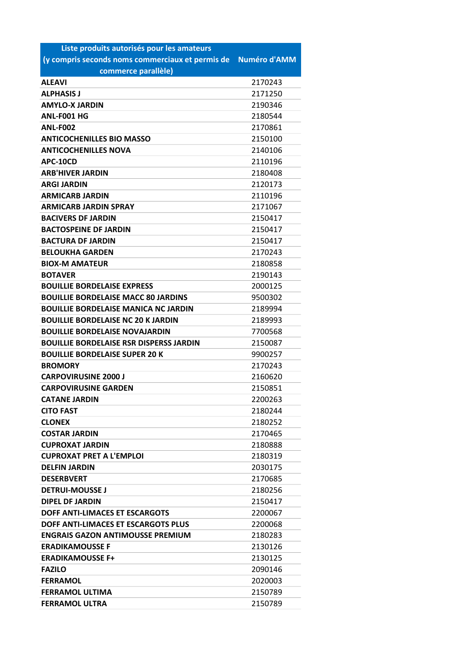| Liste produits autorisés pour les amateurs       |                     |
|--------------------------------------------------|---------------------|
| (y compris seconds noms commerciaux et permis de | <b>Numéro d'AMM</b> |
| commerce parallèle)                              |                     |
| <b>ALEAVI</b>                                    | 2170243             |
| <b>ALPHASIS J</b>                                | 2171250             |
| <b>AMYLO-X JARDIN</b>                            | 2190346             |
| ANL-F001 HG                                      | 2180544             |
| <b>ANL-F002</b>                                  | 2170861             |
| <b>ANTICOCHENILLES BIO MASSO</b>                 | 2150100             |
| <b>ANTICOCHENILLES NOVA</b>                      | 2140106             |
| APC-10CD                                         | 2110196             |
| <b>ARB'HIVER JARDIN</b>                          | 2180408             |
| <b>ARGI JARDIN</b>                               | 2120173             |
| <b>ARMICARB JARDIN</b>                           | 2110196             |
| <b>ARMICARB JARDIN SPRAY</b>                     | 2171067             |
| <b>BACIVERS DF JARDIN</b>                        | 2150417             |
| <b>BACTOSPEINE DF JARDIN</b>                     | 2150417             |
| <b>BACTURA DF JARDIN</b>                         | 2150417             |
| <b>BELOUKHA GARDEN</b>                           | 2170243             |
| <b>BIOX-M AMATEUR</b>                            | 2180858             |
| <b>BOTAVER</b>                                   | 2190143             |
| <b>BOUILLIE BORDELAISE EXPRESS</b>               | 2000125             |
| <b>BOUILLIE BORDELAISE MACC 80 JARDINS</b>       | 9500302             |
| <b>BOUILLIE BORDELAISE MANICA NC JARDIN</b>      | 2189994             |
| <b>BOUILLIE BORDELAISE NC 20 K JARDIN</b>        | 2189993             |
| <b>BOUILLIE BORDELAISE NOVAJARDIN</b>            | 7700568             |
| <b>BOUILLIE BORDELAISE RSR DISPERSS JARDIN</b>   | 2150087             |
| <b>BOUILLIE BORDELAISE SUPER 20 K</b>            | 9900257             |
| <b>BROMORY</b>                                   | 2170243             |
| <b>CARPOVIRUSINE 2000 J</b>                      | 2160620             |
| <b>CARPOVIRUSINE GARDEN</b>                      | 2150851             |
| <b>CATANE JARDIN</b>                             | 2200263             |
| <b>CITO FAST</b>                                 | 2180244             |
| <b>CLONEX</b>                                    | 2180252             |
| <b>COSTAR JARDIN</b>                             | 2170465             |
| <b>CUPROXAT JARDIN</b>                           | 2180888             |
| <b>CUPROXAT PRET A L'EMPLOI</b>                  | 2180319             |
| <b>DELFIN JARDIN</b>                             | 2030175             |
| <b>DESERBVERT</b>                                | 2170685             |
| <b>DETRUI-MOUSSE J</b>                           | 2180256             |
| <b>DIPEL DF JARDIN</b>                           | 2150417             |
| DOFF ANTI-LIMACES ET ESCARGOTS                   | 2200067             |
| DOFF ANTI-LIMACES ET ESCARGOTS PLUS              | 2200068             |
| <b>ENGRAIS GAZON ANTIMOUSSE PREMIUM</b>          | 2180283             |
| <b>ERADIKAMOUSSE F</b>                           | 2130126             |
| <b>ERADIKAMOUSSE F+</b>                          | 2130125             |
| <b>FAZILO</b>                                    | 2090146             |
| <b>FERRAMOL</b>                                  | 2020003             |
| <b>FERRAMOL ULTIMA</b>                           | 2150789             |
| <b>FERRAMOL ULTRA</b>                            | 2150789             |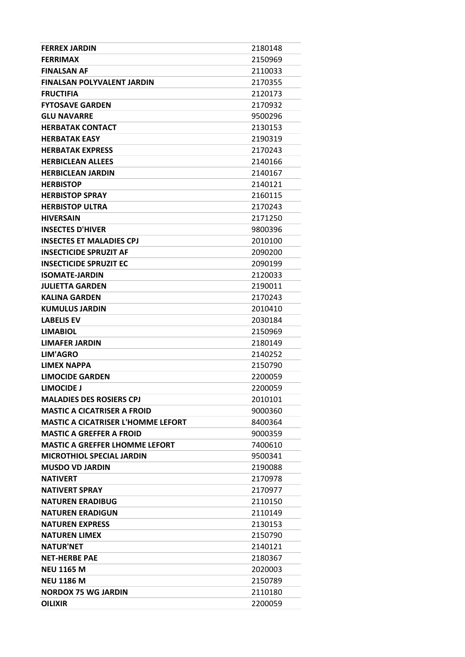| <b>FERREX JARDIN</b>                      | 2180148 |
|-------------------------------------------|---------|
| <b>FERRIMAX</b>                           | 2150969 |
| <b>FINALSAN AF</b>                        | 2110033 |
| <b>FINALSAN POLYVALENT JARDIN</b>         | 2170355 |
| <b>FRUCTIFIA</b>                          | 2120173 |
| <b>FYTOSAVE GARDEN</b>                    | 2170932 |
| <b>GLU NAVARRE</b>                        | 9500296 |
| <b>HERBATAK CONTACT</b>                   | 2130153 |
| <b>HERBATAK EASY</b>                      | 2190319 |
| <b>HERBATAK EXPRESS</b>                   | 2170243 |
| <b>HERBICLEAN ALLEES</b>                  | 2140166 |
| <b>HERBICLEAN JARDIN</b>                  | 2140167 |
| <b>HERBISTOP</b>                          | 2140121 |
| <b>HERBISTOP SPRAY</b>                    | 2160115 |
| <b>HERBISTOP ULTRA</b>                    | 2170243 |
| <b>HIVERSAIN</b>                          | 2171250 |
| <b>INSECTES D'HIVER</b>                   | 9800396 |
| <b>INSECTES ET MALADIES CPJ</b>           | 2010100 |
| <b>INSECTICIDE SPRUZIT AF</b>             | 2090200 |
| <b>INSECTICIDE SPRUZIT EC</b>             | 2090199 |
| <b>ISOMATE-JARDIN</b>                     | 2120033 |
| <b>JULIETTA GARDEN</b>                    | 2190011 |
| <b>KALINA GARDEN</b>                      | 2170243 |
| <b>KUMULUS JARDIN</b>                     | 2010410 |
| <b>LABELIS EV</b>                         | 2030184 |
| <b>LIMABIOL</b>                           | 2150969 |
| <b>LIMAFER JARDIN</b>                     | 2180149 |
| <b>LIM'AGRO</b>                           | 2140252 |
| <b>LIMEX NAPPA</b>                        | 2150790 |
| <b>LIMOCIDE GARDEN</b>                    | 2200059 |
| LIMOCIDE J                                | 2200059 |
| <b>MALADIES DES ROSIERS CPJ</b>           | 2010101 |
| <b>MASTIC A CICATRISER A FROID</b>        | 9000360 |
| <b>MASTIC A CICATRISER L'HOMME LEFORT</b> | 8400364 |
| <b>MASTIC A GREFFER A FROID</b>           | 9000359 |
| MASTIC A GREFFER LHOMME LEFORT            | 7400610 |
| <b>MICROTHIOL SPECIAL JARDIN</b>          | 9500341 |
| <b>MUSDO VD JARDIN</b>                    | 2190088 |
| <b>NATIVERT</b>                           | 2170978 |
| <b>NATIVERT SPRAY</b>                     | 2170977 |
| <b>NATUREN ERADIBUG</b>                   | 2110150 |
| <b>NATUREN ERADIGUN</b>                   | 2110149 |
| <b>NATUREN EXPRESS</b>                    | 2130153 |
| <b>NATUREN LIMEX</b>                      | 2150790 |
| <b>NATUR'NET</b>                          | 2140121 |
| <b>NET-HERBE PAE</b>                      | 2180367 |
| <b>NEU 1165 M</b>                         | 2020003 |
| <b>NEU 1186 M</b>                         | 2150789 |
| <b>NORDOX 75 WG JARDIN</b>                | 2110180 |
| <b>OILIXIR</b>                            | 2200059 |